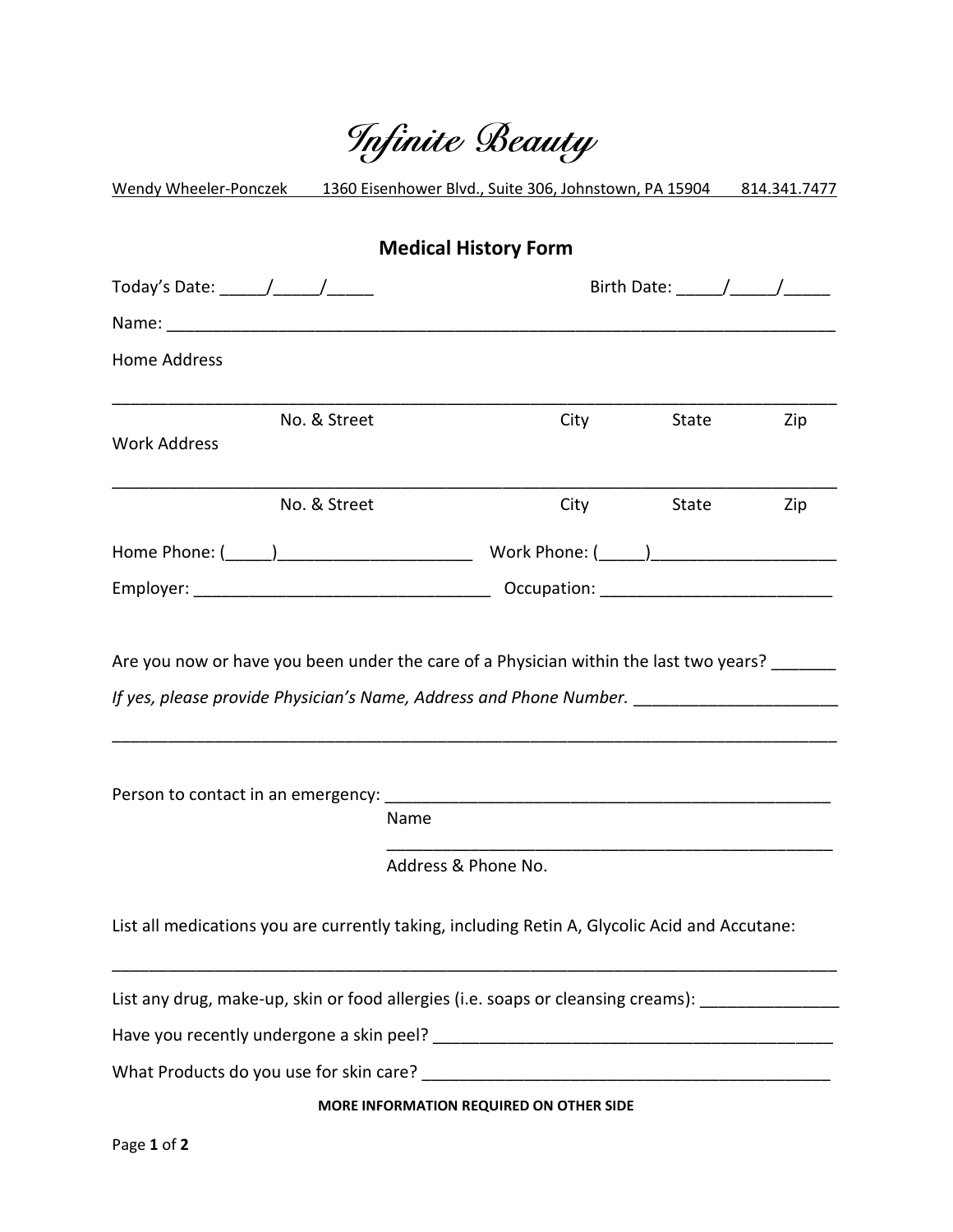|                                                                                                     | Infinite Beauty                         |       |     |
|-----------------------------------------------------------------------------------------------------|-----------------------------------------|-------|-----|
| Wendy Wheeler-Ponczek 1360 Eisenhower Blvd., Suite 306, Johnstown, PA 15904 814.341.7477            |                                         |       |     |
|                                                                                                     | <b>Medical History Form</b>             |       |     |
| Today's Date: _______/_______/_______                                                               |                                         |       |     |
|                                                                                                     |                                         |       |     |
| <b>Home Address</b>                                                                                 |                                         |       |     |
| No. & Street<br><b>Work Address</b>                                                                 | City                                    | State | Zip |
| No. & Street                                                                                        | <b>City</b>                             | State | Zip |
|                                                                                                     |                                         |       |     |
|                                                                                                     |                                         |       |     |
| Are you now or have you been under the care of a Physician within the last two years?               |                                         |       |     |
| Name                                                                                                |                                         |       |     |
|                                                                                                     | Address & Phone No.                     |       |     |
| List all medications you are currently taking, including Retin A, Glycolic Acid and Accutane:       |                                         |       |     |
| List any drug, make-up, skin or food allergies (i.e. soaps or cleansing creams): __________________ |                                         |       |     |
|                                                                                                     |                                         |       |     |
| What Products do you use for skin care?                                                             |                                         |       |     |
|                                                                                                     | MORE INFORMATION REQUIRED ON OTHER SIDE |       |     |